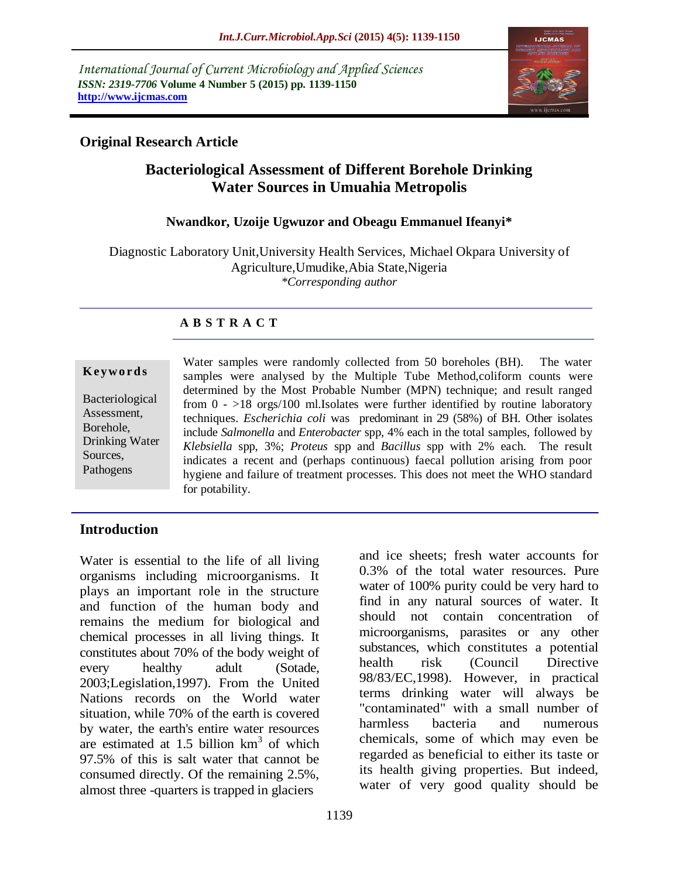*International Journal of Current Microbiology and Applied Sciences ISSN: 2319-7706* **Volume 4 Number 5 (2015) pp. 1139-1150 http://www.ijcmas.com** 



# **Original Research Article**

# **Bacteriological Assessment of Different Borehole Drinking Water Sources in Umuahia Metropolis**

#### **Nwandkor, Uzoije Ugwuzor and Obeagu Emmanuel Ifeanyi\***

Diagnostic Laboratory Unit,University Health Services, Michael Okpara University of Agriculture,Umudike,Abia State,Nigeria *\*Corresponding author*

### **A B S T R A C T**

#### **K ey w o rd s**

Bacteriological Assessment, Borehole, Drinking Water Sources, Pathogens

Water samples were randomly collected from 50 boreholes (BH). The water samples were analysed by the Multiple Tube Method,coliform counts were determined by the Most Probable Number (MPN) technique; and result ranged from  $0 - 18$  orgs/100 ml. Isolates were further identified by routine laboratory techniques. *Escherichia coli* was predominant in 29 (58%) of BH*.* Other isolates include *Salmonella* and *Enterobacter* spp, 4% each in the total samples, followed by *Klebsiella* spp, 3%; *Proteus* spp and *Bacillus* spp with 2% each. The result indicates a recent and (perhaps continuous) faecal pollution arising from poor hygiene and failure of treatment processes. This does not meet the WHO standard for potability.

#### **Introduction**

Water is essential to the life of all living organisms including microorganisms. It plays an important role in the structure and function of the human body and remains the medium for biological and chemical processes in all living things. It constitutes about 70% of the body weight of every healthy adult (Sotade, 2003;Legislation,1997). From the United Nations records on the World water situation, while 70% of the earth is covered by water, the earth's entire water resources are estimated at  $1.5$  billion  $km<sup>3</sup>$  of which 97.5% of this is salt water that cannot be consumed directly. Of the remaining 2.5%, almost three -quarters is trapped in glaciers

and ice sheets; fresh water accounts for 0.3% of the total water resources. Pure water of 100% purity could be very hard to find in any natural sources of water. It should not contain concentration of microorganisms, parasites or any other substances, which constitutes a potential health risk (Council Directive 98/83/EC,1998). However, in practical terms drinking water will always be "contaminated" with a small number of harmless bacteria and numerous chemicals, some of which may even be regarded as beneficial to either its taste or its health giving properties. But indeed, water of very good quality should be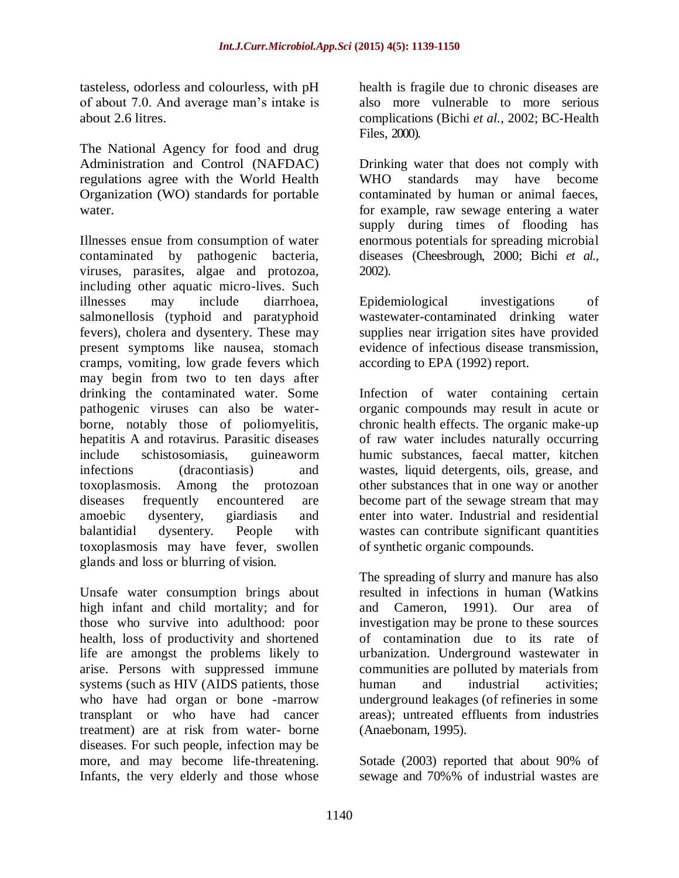tasteless, odorless and colourless, with pH of about 7.0. And average man's intake is about 2.6 litres.

The National Agency for food and drug Administration and Control (NAFDAC) regulations agree with the World Health Organization (WO) standards for portable water.

Illnesses ensue from consumption of water contaminated by pathogenic bacteria, viruses, parasites, algae and protozoa, including other aquatic micro-lives. Such illnesses may include diarrhoea, salmonellosis (typhoid and paratyphoid fevers), cholera and dysentery. These may present symptoms like nausea, stomach cramps, vomiting, low grade fevers which may begin from two to ten days after drinking the contaminated water. Some pathogenic viruses can also be waterborne, notably those of poliomyelitis, hepatitis A and rotavirus. Parasitic diseases include schistosomiasis, guineaworm infections (dracontiasis) and toxoplasmosis. Among the protozoan diseases frequently encountered are amoebic dysentery, giardiasis and balantidial dysentery. People with toxoplasmosis may have fever, swollen glands and loss or blurring of vision.

Unsafe water consumption brings about high infant and child mortality; and for those who survive into adulthood: poor health, loss of productivity and shortened life are amongst the problems likely to arise. Persons with suppressed immune systems (such as HIV (AIDS patients, those who have had organ or bone -marrow transplant or who have had cancer treatment) are at risk from water- borne diseases. For such people, infection may be more, and may become life-threatening. Infants, the very elderly and those whose

health is fragile due to chronic diseases are also more vulnerable to more serious complications (Bichi *et al.,* 2002; BC-Health Files, 2000).

Drinking water that does not comply with WHO standards may have become contaminated by human or animal faeces, for example, raw sewage entering a water supply during times of flooding has enormous potentials for spreading microbial diseases (Cheesbrough, 2000; Bichi *et al.,* 2002).

Epidemiological investigations of wastewater-contaminated drinking water supplies near irrigation sites have provided evidence of infectious disease transmission, according to EPA (1992) report.

Infection of water containing certain organic compounds may result in acute or chronic health effects. The organic make-up of raw water includes naturally occurring humic substances, faecal matter, kitchen wastes, liquid detergents, oils, grease, and other substances that in one way or another become part of the sewage stream that may enter into water. Industrial and residential wastes can contribute significant quantities of synthetic organic compounds.

The spreading of slurry and manure has also resulted in infections in human (Watkins and Cameron, 1991). Our area of investigation may be prone to these sources of contamination due to its rate of urbanization. Underground wastewater in communities are polluted by materials from human and industrial activities; underground leakages (of refineries in some areas); untreated effluents from industries (Anaebonam, 1995).

Sotade (2003) reported that about 90% of sewage and 70%% of industrial wastes are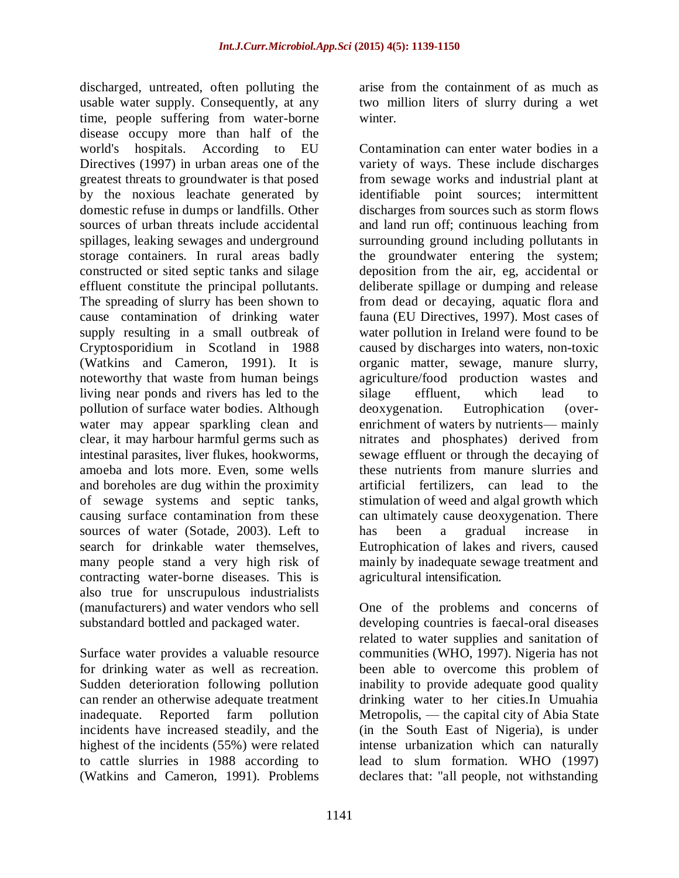discharged, untreated, often polluting the usable water supply. Consequently, at any time, people suffering from water-borne disease occupy more than half of the world's hospitals. According to EU Directives (1997) in urban areas one of the greatest threats to groundwater is that posed by the noxious leachate generated by domestic refuse in dumps or landfills. Other sources of urban threats include accidental spillages, leaking sewages and underground storage containers. In rural areas badly constructed or sited septic tanks and silage effluent constitute the principal pollutants. The spreading of slurry has been shown to cause contamination of drinking water supply resulting in a small outbreak of Cryptosporidium in Scotland in 1988 (Watkins and Cameron, 1991). It is noteworthy that waste from human beings living near ponds and rivers has led to the pollution of surface water bodies. Although water may appear sparkling clean and clear, it may harbour harmful germs such as intestinal parasites, liver flukes, hookworms, amoeba and lots more. Even, some wells and boreholes are dug within the proximity of sewage systems and septic tanks, causing surface contamination from these sources of water (Sotade, 2003). Left to search for drinkable water themselves, many people stand a very high risk of contracting water-borne diseases. This is also true for unscrupulous industrialists (manufacturers) and water vendors who sell substandard bottled and packaged water.

Surface water provides a valuable resource for drinking water as well as recreation. Sudden deterioration following pollution can render an otherwise adequate treatment inadequate. Reported farm pollution incidents have increased steadily, and the highest of the incidents (55%) were related to cattle slurries in 1988 according to (Watkins and Cameron, 1991). Problems

arise from the containment of as much as two million liters of slurry during a wet winter.

Contamination can enter water bodies in a variety of ways. These include discharges from sewage works and industrial plant at identifiable point sources; intermittent discharges from sources such as storm flows and land run off; continuous leaching from surrounding ground including pollutants in the groundwater entering the system; deposition from the air, eg, accidental or deliberate spillage or dumping and release from dead or decaying, aquatic flora and fauna (EU Directives, 1997). Most cases of water pollution in Ireland were found to be caused by discharges into waters, non-toxic organic matter, sewage, manure slurry, agriculture/food production wastes and silage effluent, which lead to deoxygenation. Eutrophication (overenrichment of waters by nutrients— mainly nitrates and phosphates) derived from sewage effluent or through the decaying of these nutrients from manure slurries and artificial fertilizers, can lead to the stimulation of weed and algal growth which can ultimately cause deoxygenation. There has been a gradual increase in Eutrophication of lakes and rivers, caused mainly by inadequate sewage treatment and agricultural intensification.

One of the problems and concerns of developing countries is faecal-oral diseases related to water supplies and sanitation of communities (WHO, 1997). Nigeria has not been able to overcome this problem of inability to provide adequate good quality drinking water to her cities.In Umuahia Metropolis, — the capital city of Abia State (in the South East of Nigeria), is under intense urbanization which can naturally lead to slum formation. WHO (1997) declares that: "all people, not withstanding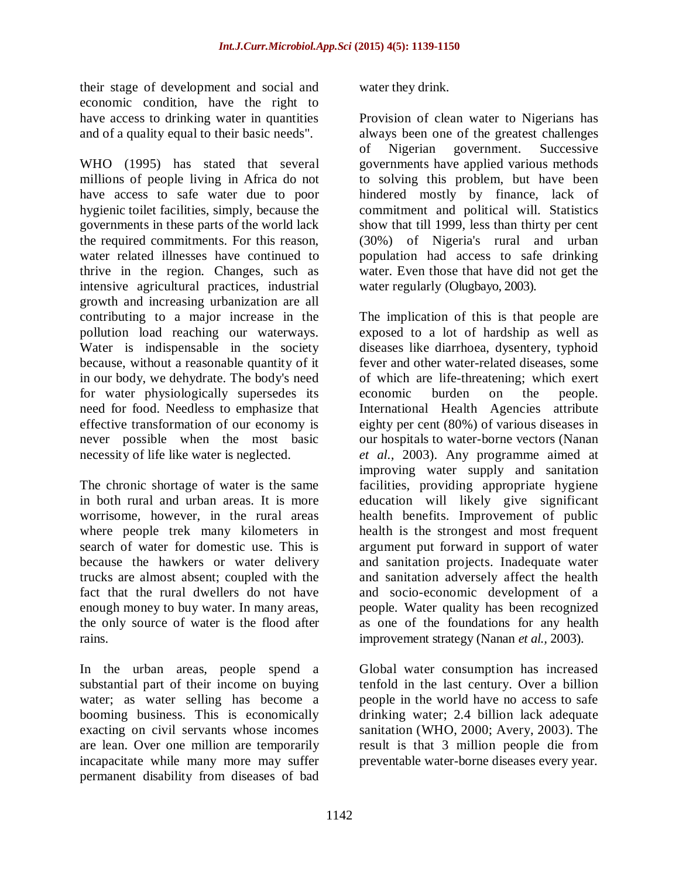their stage of development and social and economic condition, have the right to have access to drinking water in quantities and of a quality equal to their basic needs".

WHO (1995) has stated that several millions of people living in Africa do not have access to safe water due to poor hygienic toilet facilities, simply, because the governments in these parts of the world lack the required commitments. For this reason, water related illnesses have continued to thrive in the region. Changes, such as intensive agricultural practices, industrial growth and increasing urbanization are all contributing to a major increase in the pollution load reaching our waterways. Water is indispensable in the society because, without a reasonable quantity of it in our body, we dehydrate. The body's need for water physiologically supersedes its need for food. Needless to emphasize that effective transformation of our economy is never possible when the most basic necessity of life like water is neglected.

The chronic shortage of water is the same in both rural and urban areas. It is more worrisome, however, in the rural areas where people trek many kilometers in search of water for domestic use. This is because the hawkers or water delivery trucks are almost absent; coupled with the fact that the rural dwellers do not have enough money to buy water. In many areas, the only source of water is the flood after rains.

In the urban areas, people spend a substantial part of their income on buying water; as water selling has become a booming business. This is economically exacting on civil servants whose incomes are lean. Over one million are temporarily incapacitate while many more may suffer permanent disability from diseases of bad

water they drink.

Provision of clean water to Nigerians has always been one of the greatest challenges of Nigerian government. Successive governments have applied various methods to solving this problem, but have been hindered mostly by finance, lack of commitment and political will. Statistics show that till 1999, less than thirty per cent (30%) of Nigeria's rural and urban population had access to safe drinking water. Even those that have did not get the water regularly (Olugbayo, 2003).

The implication of this is that people are exposed to a lot of hardship as well as diseases like diarrhoea, dysentery, typhoid fever and other water-related diseases, some of which are life-threatening; which exert economic burden on the people. International Health Agencies attribute eighty per cent (80%) of various diseases in our hospitals to water-borne vectors (Nanan *et al.,* 2003). Any programme aimed at improving water supply and sanitation facilities, providing appropriate hygiene education will likely give significant health benefits. Improvement of public health is the strongest and most frequent argument put forward in support of water and sanitation projects. Inadequate water and sanitation adversely affect the health and socio-economic development of a people. Water quality has been recognized as one of the foundations for any health improvement strategy (Nanan *et al.,* 2003).

Global water consumption has increased tenfold in the last century. Over a billion people in the world have no access to safe drinking water; 2.4 billion lack adequate sanitation (WHO, 2000; Avery, 2003). The result is that 3 million people die from preventable water-borne diseases every year.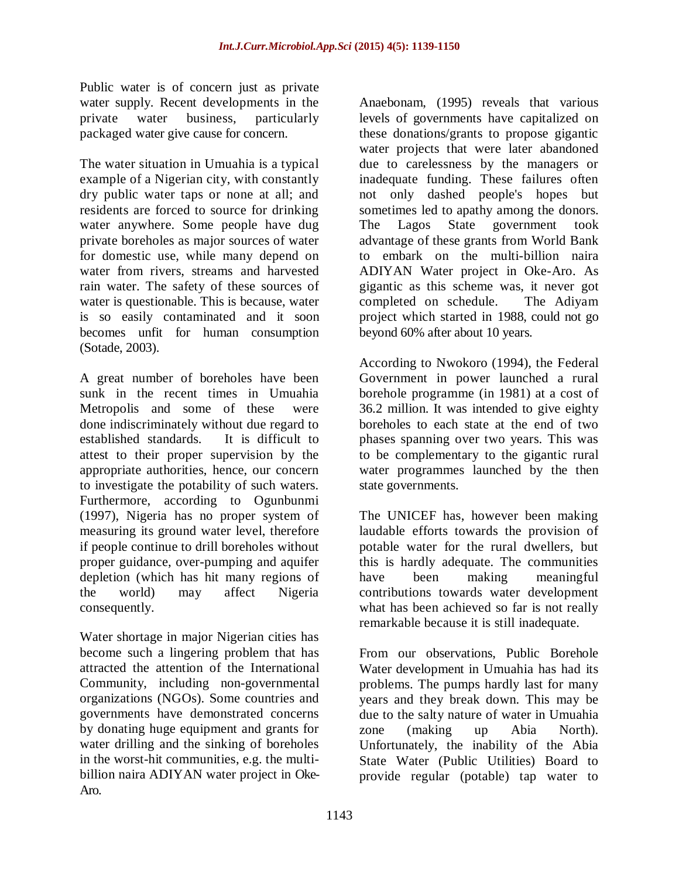Public water is of concern just as private water supply. Recent developments in the private water business, particularly packaged water give cause for concern.

The water situation in Umuahia is a typical example of a Nigerian city, with constantly dry public water taps or none at all; and residents are forced to source for drinking water anywhere. Some people have dug private boreholes as major sources of water for domestic use, while many depend on water from rivers, streams and harvested rain water. The safety of these sources of water is questionable. This is because, water is so easily contaminated and it soon becomes unfit for human consumption (Sotade, 2003).

A great number of boreholes have been sunk in the recent times in Umuahia Metropolis and some of these were done indiscriminately without due regard to established standards. It is difficult to attest to their proper supervision by the appropriate authorities, hence, our concern to investigate the potability of such waters. Furthermore, according to Ogunbunmi (1997), Nigeria has no proper system of measuring its ground water level, therefore if people continue to drill boreholes without proper guidance, over-pumping and aquifer depletion (which has hit many regions of the world) may affect Nigeria consequently.

Water shortage in major Nigerian cities has become such a lingering problem that has attracted the attention of the International Community, including non-governmental organizations (NGOs). Some countries and governments have demonstrated concerns by donating huge equipment and grants for water drilling and the sinking of boreholes in the worst-hit communities, e.g. the multibillion naira ADIYAN water project in Oke-Aro.

Anaebonam, (1995) reveals that various levels of governments have capitalized on these donations/grants to propose gigantic water projects that were later abandoned due to carelessness by the managers or inadequate funding. These failures often not only dashed people's hopes but sometimes led to apathy among the donors. The Lagos State government took advantage of these grants from World Bank to embark on the multi-billion naira ADIYAN Water project in Oke-Aro. As gigantic as this scheme was, it never got completed on schedule. The Adiyam project which started in 1988, could not go beyond 60% after about 10 years.

According to Nwokoro (1994), the Federal Government in power launched a rural borehole programme (in 1981) at a cost of 36.2 million. It was intended to give eighty boreholes to each state at the end of two phases spanning over two years. This was to be complementary to the gigantic rural water programmes launched by the then state governments.

The UNICEF has, however been making laudable efforts towards the provision of potable water for the rural dwellers, but this is hardly adequate. The communities have been making meaningful contributions towards water development what has been achieved so far is not really remarkable because it is still inadequate. '

From our observations, Public Borehole Water development in Umuahia has had its problems. The pumps hardly last for many years and they break down. This may be due to the salty nature of water in Umuahia zone (making up Abia North). Unfortunately, the inability of the Abia State Water (Public Utilities) Board to provide regular (potable) tap water to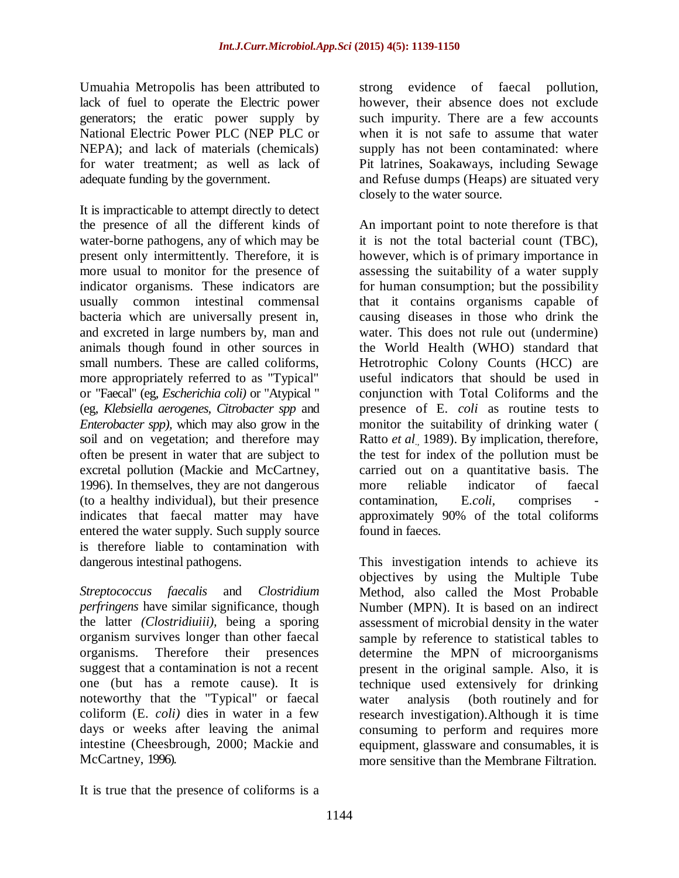Umuahia Metropolis has been attributed to lack of fuel to operate the Electric power generators; the eratic power supply by National Electric Power PLC (NEP PLC or NEPA); and lack of materials (chemicals) for water treatment; as well as lack of adequate funding by the government.

It is impracticable to attempt directly to detect the presence of all the different kinds of water-borne pathogens, any of which may be present only intermittently. Therefore, it is more usual to monitor for the presence of indicator organisms. These indicators are usually common intestinal commensal bacteria which are universally present in, and excreted in large numbers by, man and animals though found in other sources in small numbers. These are called coliforms, more appropriately referred to as "Typical" or "Faecal" (eg, *Escherichia coli)* or "Atypical " (eg, *Klebsiella aerogenes, Citrobacter spp* and *Enterobacter spp),* which may also grow in the soil and on vegetation; and therefore may often be present in water that are subject to excretal pollution (Mackie and McCartney, 1996). In themselves, they are not dangerous (to a healthy individual), but their presence indicates that faecal matter may have entered the water supply. Such supply source is therefore liable to contamination with dangerous intestinal pathogens.

*Streptococcus faecalis* and *Clostridium perfringens* have similar significance, though the latter *(Clostridiuiii),* being a sporing organism survives longer than other faecal organisms. Therefore their presences suggest that a contamination is not a recent one (but has a remote cause). It is noteworthy that the "Typical" or faecal coliform (E. *coli)* dies in water in a few days or weeks after leaving the animal intestine (Cheesbrough, 2000; Mackie and McCartney, 1996).

strong evidence of faecal pollution, however, their absence does not exclude such impurity. There are a few accounts when it is not safe to assume that water supply has not been contaminated: where Pit latrines, Soakaways, including Sewage and Refuse dumps (Heaps) are situated very closely to the water source.

An important point to note therefore is that it is not the total bacterial count (TBC), however, which is of primary importance in assessing the suitability of a water supply for human consumption; but the possibility that it contains organisms capable of causing diseases in those who drink the water. This does not rule out (undermine) the World Health (WHO) standard that Hetrotrophic Colony Counts (HCC) are useful indicators that should be used in conjunction with Total Coliforms and the presence of E. *coli* as routine tests to monitor the suitability of drinking water ( Ratto *et al<sub>i</sub>* 1989). By implication, therefore, the test for index of the pollution must be carried out on a quantitative basis. The more reliable indicator of faecal contamination, E.*coli*, comprises approximately 90% of the total coliforms found in faeces.

This investigation intends to achieve its objectives by using the Multiple Tube Method, also called the Most Probable Number (MPN). It is based on an indirect assessment of microbial density in the water sample by reference to statistical tables to determine the MPN of microorganisms present in the original sample. Also, it is technique used extensively for drinking water analysis (both routinely and for research investigation).Although it is time consuming to perform and requires more equipment, glassware and consumables, it is more sensitive than the Membrane Filtration.

It is true that the presence of coliforms is a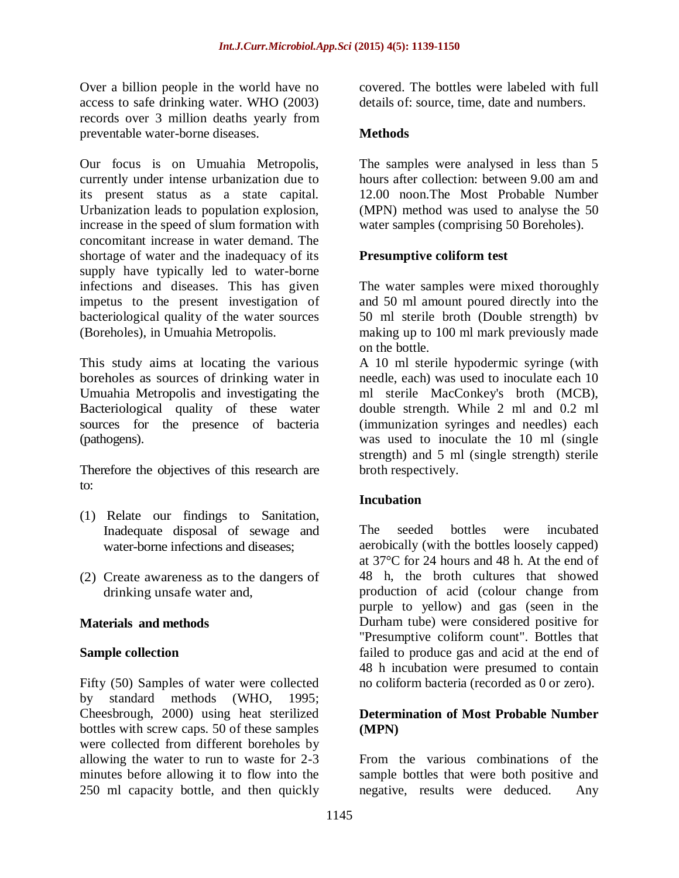Over a billion people in the world have no access to safe drinking water. WHO (2003) records over 3 million deaths yearly from preventable water-borne diseases.

Our focus is on Umuahia Metropolis, currently under intense urbanization due to its present status as a state capital. Urbanization leads to population explosion, increase in the speed of slum formation with concomitant increase in water demand. The shortage of water and the inadequacy of its supply have typically led to water-borne infections and diseases. This has given impetus to the present investigation of bacteriological quality of the water sources (Boreholes), in Umuahia Metropolis.

This study aims at locating the various boreholes as sources of drinking water in Umuahia Metropolis and investigating the Bacteriological quality of these water sources for the presence of bacteria (pathogens).

Therefore the objectives of this research are to:

- (1) Relate our findings to Sanitation, Inadequate disposal of sewage and water-borne infections and diseases;
- (2) Create awareness as to the dangers of drinking unsafe water and,

#### **Materials and methods**

#### **Sample collection**

Fifty (50) Samples of water were collected by standard methods (WHO, 1995; Cheesbrough, 2000) using heat sterilized bottles with screw caps. 50 of these samples were collected from different boreholes by allowing the water to run to waste for 2-3 minutes before allowing it to flow into the 250 ml capacity bottle, and then quickly

covered. The bottles were labeled with full details of: source, time, date and numbers.

#### **Methods**

The samples were analysed in less than 5 hours after collection: between 9.00 am and 12.00 noon.The Most Probable Number (MPN) method was used to analyse the 50 water samples (comprising 50 Boreholes).

#### **Presumptive coliform test**

The water samples were mixed thoroughly and 50 ml amount poured directly into the 50 ml sterile broth (Double strength) bv making up to 100 ml mark previously made on the bottle.

A 10 ml sterile hypodermic syringe (with needle, each) was used to inoculate each 10 ml sterile MacConkey's broth (MCB), double strength. While 2 ml and 0.2 ml (immunization syringes and needles) each was used to inoculate the 10 ml (single strength) and 5 ml (single strength) sterile broth respectively.

#### **Incubation**

The seeded bottles were incubated aerobically (with the bottles loosely capped) at 37°C for 24 hours and 48 h. At the end of 48 h, the broth cultures that showed production of acid (colour change from purple to yellow) and gas (seen in the Durham tube) were considered positive for "Presumptive coliform count". Bottles that failed to produce gas and acid at the end of 48 h incubation were presumed to contain no coliform bacteria (recorded as 0 or zero).

#### **Determination of Most Probable Number (MPN)**

From the various combinations of the sample bottles that were both positive and negative, results were deduced. Any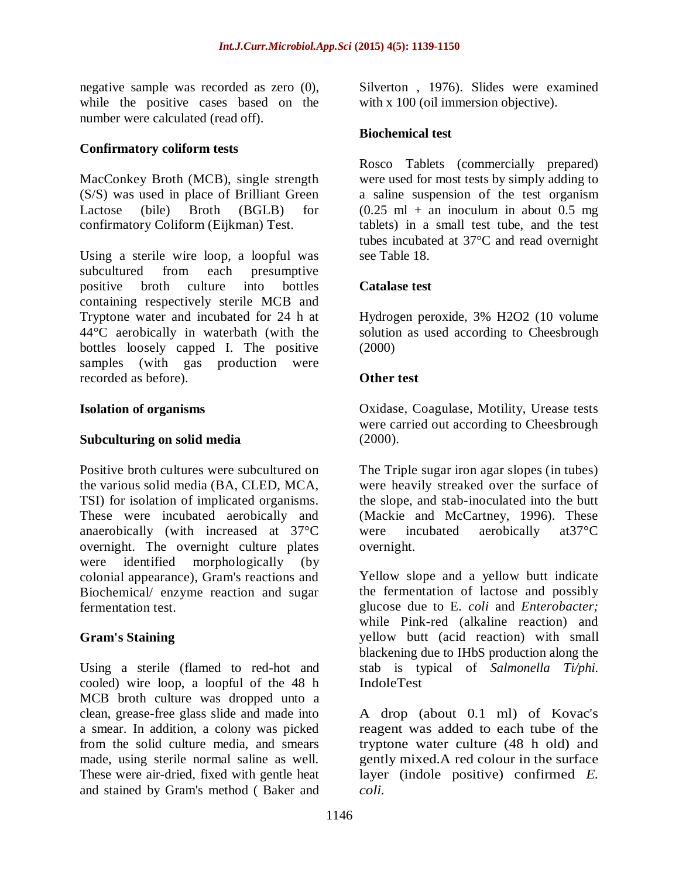negative sample was recorded as zero (0), while the positive cases based on the number were calculated (read off).

#### **Confirmatory coliform tests**

MacConkey Broth (MCB), single strength (S/S) was used in place of Brilliant Green Lactose (bile) Broth (BGLB) for confirmatory Coliform (Eijkman) Test.

Using a sterile wire loop, a loopful was subcultured from each presumptive positive broth culture into bottles containing respectively sterile MCB and Tryptone water and incubated for 24 h at 44°C aerobically in waterbath (with the bottles loosely capped I. The positive samples (with gas production were recorded as before).

### **Isolation of organisms**

#### **Subculturing on solid media**

Positive broth cultures were subcultured on the various solid media (BA, CLED, MCA, TSI) for isolation of implicated organisms. These were incubated aerobically and anaerobically (with increased at 37°C overnight. The overnight culture plates were identified morphologically (by colonial appearance), Gram's reactions and Biochemical/ enzyme reaction and sugar fermentation test.

# **Gram's Staining**

Using a sterile (flamed to red-hot and cooled) wire loop, a loopful of the 48 h MCB broth culture was dropped unto a clean, grease-free glass slide and made into a smear. In addition, a colony was picked from the solid culture media, and smears made, using sterile normal saline as well. These were air-dried, fixed with gentle heat and stained by Gram's method ( Baker and

Silverton , 1976). Slides were examined with x 100 (oil immersion objective).

# **Biochemical test**

Rosco Tablets (commercially prepared) were used for most tests by simply adding to a saline suspension of the test organism  $(0.25 \text{ ml} + \text{an}$  inoculum in about 0.5 mg tablets) in a small test tube, and the test tubes incubated at 37°C and read overnight see Table 18.

### **Catalase test**

Hydrogen peroxide, 3% H2O2 (10 volume solution as used according to Cheesbrough (2000)

### **Other test**

Oxidase, Coagulase, Motility, Urease tests were carried out according to Cheesbrough (2000).

The Triple sugar iron agar slopes (in tubes) were heavily streaked over the surface of the slope, and stab-inoculated into the butt (Mackie and McCartney, 1996). These were incubated aerobically at37°C overnight.

Yellow slope and a yellow butt indicate the fermentation of lactose and possibly glucose due to E. *coli* and *Enterobacter;*  while Pink-red (alkaline reaction) and yellow butt (acid reaction) with small blackening due to IHbS production along the stab is typical of *Salmonella Ti/phi.* IndoleTest

A drop (about 0.1 ml) of Kovac's reagent was added to each tube of the tryptone water culture (48 h old) and gently mixed.A red colour in the surface layer (indole positive) confirmed *E. coli.*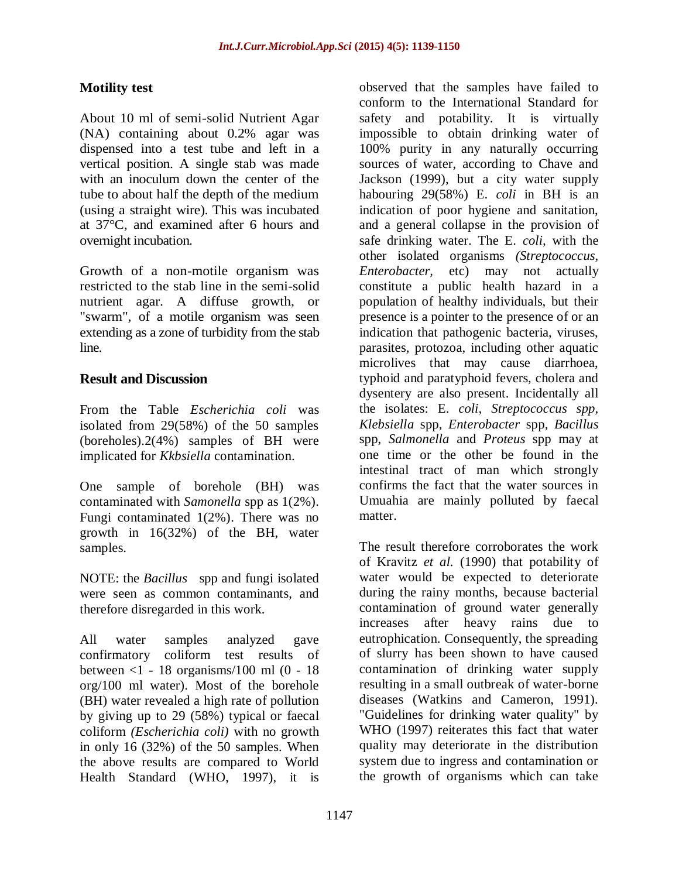#### **Motility test**

About 10 ml of semi-solid Nutrient Agar (NA) containing about 0.2% agar was dispensed into a test tube and left in a vertical position. A single stab was made with an inoculum down the center of the tube to about half the depth of the medium (using a straight wire). This was incubated at 37°C, and examined after 6 hours and overnight incubation.

Growth of a non-motile organism was restricted to the stab line in the semi-solid nutrient agar. A diffuse growth, or "swarm", of a motile organism was seen extending as a zone of turbidity from the stab line.

### **Result and Discussion**

From the Table *Escherichia coli* was isolated from 29(58%) of the 50 samples (boreholes).2(4%) samples of BH were implicated for *Kkbsiella* contamination.

One sample of borehole (BH) was contaminated with *Samonella* spp as 1(2%). Fungi contaminated 1(2%). There was no growth in 16(32%) of the BH, water samples.

NOTE: the *Bacillus* spp and fungi isolated were seen as common contaminants, and therefore disregarded in this work.

All water samples analyzed gave confirmatory coliform test results of between  $<1$  - 18 organisms/100 ml (0 - 18) org/100 ml water). Most of the borehole (BH) water revealed a high rate of pollution by giving up to 29 (58%) typical or faecal coliform *(Escherichia coli)* with no growth in only 16 (32%) of the 50 samples. When the above results are compared to World Health Standard (WHO, 1997), it is

observed that the samples have failed to conform to the International Standard for safety and potability. It is virtually impossible to obtain drinking water of 100% purity in any naturally occurring sources of water, according to Chave and Jackson (1999), but a city water supply habouring 29(58%) E. *coli* in BH is an indication of poor hygiene and sanitation, and a general collapse in the provision of safe drinking water. The E. *coli,* with the other isolated organisms *(Streptococcus, Enterobacter,* etc) may not actually constitute a public health hazard in a population of healthy individuals, but their presence is a pointer to the presence of or an indication that pathogenic bacteria, viruses, parasites, protozoa, including other aquatic microlives that may cause diarrhoea, typhoid and paratyphoid fevers, cholera and dysentery are also present. Incidentally all the isolates: E. *coli, Streptococcus spp, Klebsiella* spp, *Enterobacter* spp, *Bacillus*  spp, *Salmonella* and *Proteus* spp may at one time or the other be found in the intestinal tract of man which strongly confirms the fact that the water sources in Umuahia are mainly polluted by faecal matter.

The result therefore corroborates the work of Kravitz *et al.* (1990) that potability of water would be expected to deteriorate during the rainy months, because bacterial contamination of ground water generally increases after heavy rains due to eutrophication. Consequently, the spreading of slurry has been shown to have caused contamination of drinking water supply resulting in a small outbreak of water-borne diseases (Watkins and Cameron, 1991). "Guidelines for drinking water quality" by WHO (1997) reiterates this fact that water quality may deteriorate in the distribution system due to ingress and contamination or the growth of organisms which can take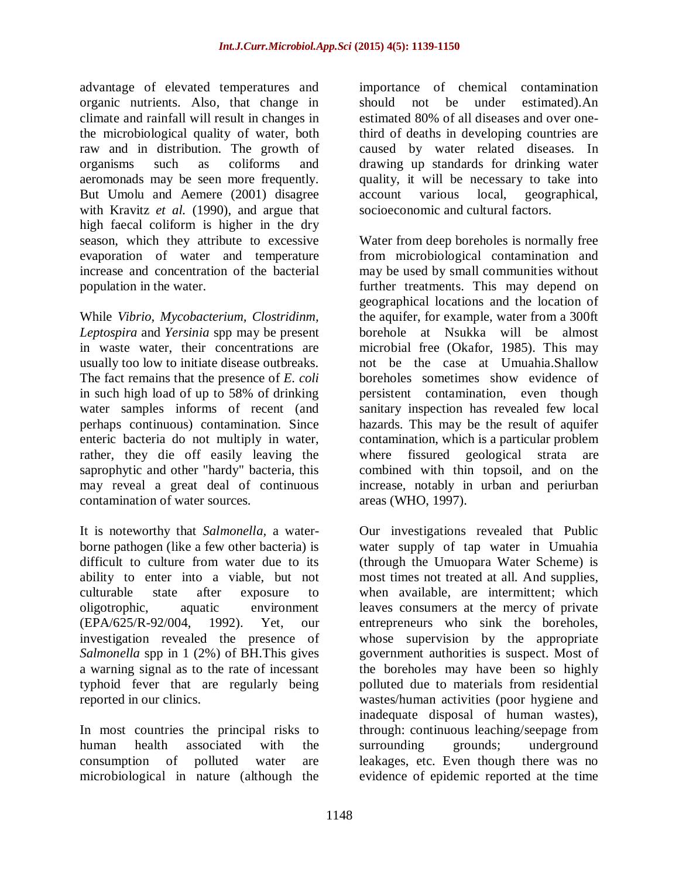advantage of elevated temperatures and organic nutrients. Also, that change in climate and rainfall will result in changes in the microbiological quality of water, both raw and in distribution. The growth of organisms such as coliforms and aeromonads may be seen more frequently. But Umolu and Aemere (2001) disagree with Kravitz *et al.* (1990), and argue that high faecal coliform is higher in the dry season, which they attribute to excessive evaporation of water and temperature increase and concentration of the bacterial population in the water.

While *Vibrio, Mycobacterium, Clostridinm, Leptospira* and *Yersinia* spp may be present in waste water, their concentrations are usually too low to initiate disease outbreaks. The fact remains that the presence of *E. coli*  in such high load of up to 58% of drinking water samples informs of recent (and perhaps continuous) contamination. Since enteric bacteria do not multiply in water, rather, they die off easily leaving the saprophytic and other "hardy" bacteria, this may reveal a great deal of continuous contamination of water sources.

It is noteworthy that *Salmonella,* a waterborne pathogen (like a few other bacteria) is difficult to culture from water due to its ability to enter into a viable, but not culturable state after exposure to oligotrophic, aquatic environment (EPA/625/R-92/004, 1992). Yet, our investigation revealed the presence of *Salmonella* spp in 1 (2%) of BH.This gives a warning signal as to the rate of incessant typhoid fever that are regularly being reported in our clinics.

In most countries the principal risks to human health associated with the consumption of polluted water are microbiological in nature (although the importance of chemical contamination should not be under estimated).An estimated 80% of all diseases and over onethird of deaths in developing countries are caused by water related diseases. In drawing up standards for drinking water quality, it will be necessary to take into account various local, geographical, socioeconomic and cultural factors.

Water from deep boreholes is normally free from microbiological contamination and may be used by small communities without further treatments. This may depend on geographical locations and the location of the aquifer, for example, water from a 300ft borehole at Nsukka will be almost microbial free (Okafor, 1985). This may not be the case at Umuahia.Shallow boreholes sometimes show evidence of persistent contamination, even though sanitary inspection has revealed few local hazards. This may be the result of aquifer contamination, which is a particular problem where fissured geological strata are combined with thin topsoil, and on the increase, notably in urban and periurban areas (WHO, 1997).

Our investigations revealed that Public water supply of tap water in Umuahia (through the Umuopara Water Scheme) is most times not treated at all. And supplies, when available, are intermittent; which leaves consumers at the mercy of private entrepreneurs who sink the boreholes, whose supervision by the appropriate government authorities is suspect. Most of the boreholes may have been so highly polluted due to materials from residential wastes/human activities (poor hygiene and inadequate disposal of human wastes), through: continuous leaching/seepage from surrounding grounds; underground leakages, etc. Even though there was no evidence of epidemic reported at the time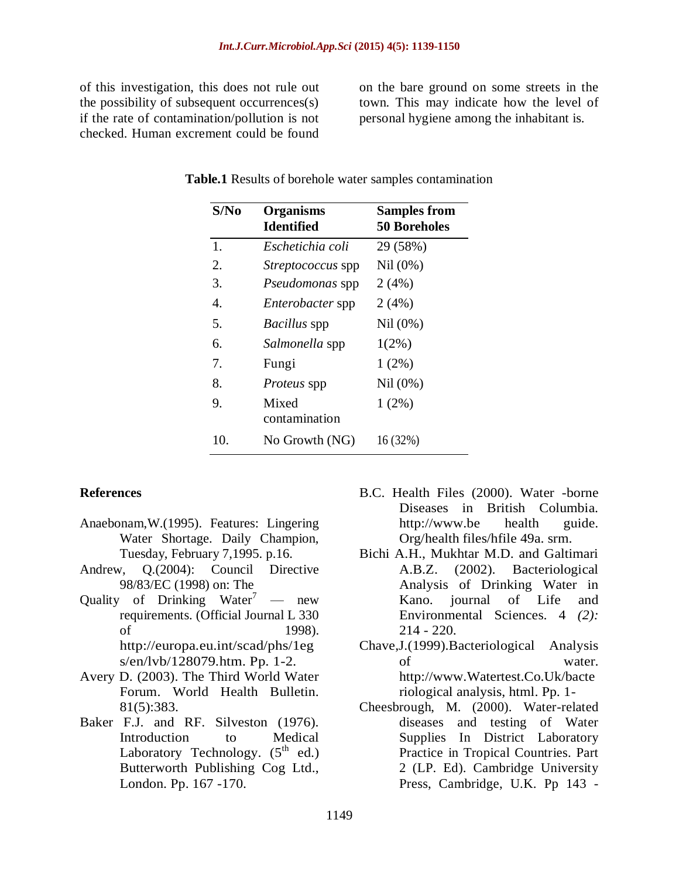of this investigation, this does not rule out the possibility of subsequent occurrences(s) if the rate of contamination/pollution is not checked. Human excrement could be found on the bare ground on some streets in the town. This may indicate how the level of personal hygiene among the inhabitant is.

| S/No | <b>Organisms</b><br><b>Identified</b> | <b>Samples from</b><br><b>50 Boreholes</b> |
|------|---------------------------------------|--------------------------------------------|
| 1.   | Eschetichia coli                      | 29 (58%)                                   |
| 2.   | <i>Streptococcus</i> spp              | Nil (0%)                                   |
| 3.   | Pseudomonas spp                       | 2(4%)                                      |
| 4.   | <i>Enterobacter</i> spp               | 2(4%)                                      |
| 5.   | Bacillus spp                          | Nil (0%)                                   |
| 6.   | Salmonella spp                        | $1(2\%)$                                   |
| 7.   | Fungi                                 | $1(2\%)$                                   |
| 8.   | <i>Proteus</i> spp                    | Nil (0%)                                   |
| 9.   | Mixed<br>contamination                | $1(2\%)$                                   |
| 10.  | No Growth (NG)                        | 16 (32%)                                   |

#### **Table.1** Results of borehole water samples contamination

#### **References**

- Anaebonam,W.(1995). Features: Lingering Water Shortage. Daily Champion, Tuesday, February 7,1995. p.16.
- Andrew, Q.(2004): Council Directive 98/83/EC (1998) on: The
- Ouality of Drinking Water<sup>7</sup> new requirements. (Official Journal L 330 of 1998). http://europa.eu.int/scad/phs/1eg s/en/lvb/128079.htm. Pp. 1-2.
- Avery D. (2003). The Third World Water Forum. World Health Bulletin. 81(5):383.
- Baker F.J. and RF. Silveston (1976). Introduction to Medical Laboratory Technology.  $(5^{th}$  ed.) Butterworth Publishing Cog Ltd., London. Pp. 167 -170.
- B.C. Health Files (2000). Water -borne Diseases in British Columbia. http://www.be health guide. Org/health files/hfile 49a. srm.
- Bichi A.H., Mukhtar M.D. and Galtimari A.B.Z. (2002). Bacteriological Analysis of Drinking Water in Kano. journal of Life and Environmental Sciences. 4 *(2):*   $214 - 220$ .
- Chave,J.(1999).Bacteriological Analysis of water. http://www.Watertest.Co.Uk/bacte riological analysis, html. Pp. 1-
- Cheesbrough, M. (2000). Water-related diseases and testing of Water Supplies In District Laboratory Practice in Tropical Countries. Part 2 (LP. Ed). Cambridge University Press, Cambridge, U.K. Pp 143 -